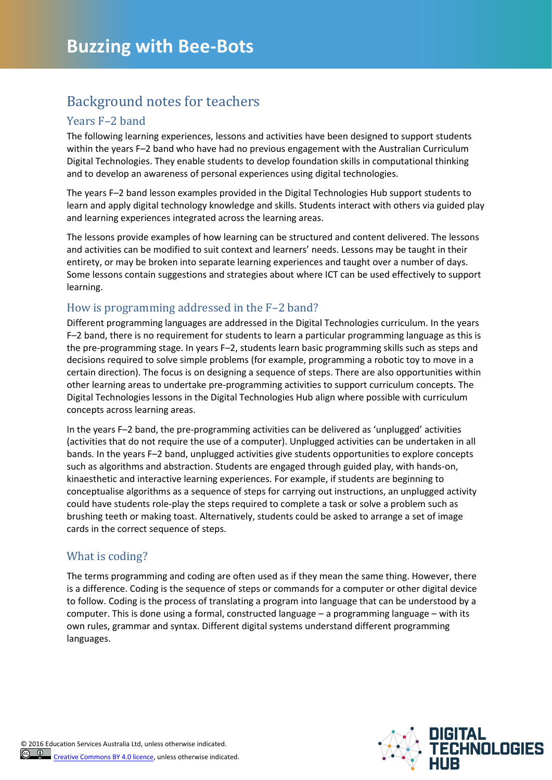## Background notes for teachers

#### Years F–2 band

The following learning experiences, lessons and activities have been designed to support students within the years F–2 band who have had no previous engagement with the Australian Curriculum Digital Technologies. They enable students to develop foundation skills in computational thinking and to develop an awareness of personal experiences using digital technologies.

The years F–2 band lesson examples provided in the Digital Technologies Hub support students to learn and apply digital technology knowledge and skills. Students interact with others via guided play and learning experiences integrated across the learning areas.

The lessons provide examples of how learning can be structured and content delivered. The lessons and activities can be modified to suit context and learners' needs. Lessons may be taught in their entirety, or may be broken into separate learning experiences and taught over a number of days. Some lessons contain suggestions and strategies about where ICT can be used effectively to support learning.

#### How is programming addressed in the F–2 band?

Different programming languages are addressed in the Digital Technologies curriculum. In the years F–2 band, there is no requirement for students to learn a particular programming language as this is the pre-programming stage. In years F–2, students learn basic programming skills such as steps and decisions required to solve simple problems (for example, programming a robotic toy to move in a certain direction). The focus is on designing a sequence of steps. There are also opportunities within other learning areas to undertake pre-programming activities to support curriculum concepts. The Digital Technologies lessons in the Digital Technologies Hub align where possible with curriculum concepts across learning areas.

In the years F–2 band, the pre-programming activities can be delivered as 'unplugged' activities (activities that do not require the use of a computer). Unplugged activities can be undertaken in all bands. In the years F–2 band, unplugged activities give students opportunities to explore concepts such as algorithms and abstraction. Students are engaged through guided play, with hands-on, kinaesthetic and interactive learning experiences. For example, if students are beginning to conceptualise algorithms as a sequence of steps for carrying out instructions, an unplugged activity could have students role-play the steps required to complete a task or solve a problem such as brushing teeth or making toast. Alternatively, students could be asked to arrange a set of image cards in the correct sequence of steps.

#### What is coding?

The terms programming and coding are often used as if they mean the same thing. However, there is a difference. Coding is the sequence of steps or commands for a computer or other digital device to follow. Coding is the process of translating a program into language that can be understood by a computer. This is done using a formal, constructed language – a programming language – with its own rules, grammar and syntax. Different digital systems understand different programming languages.

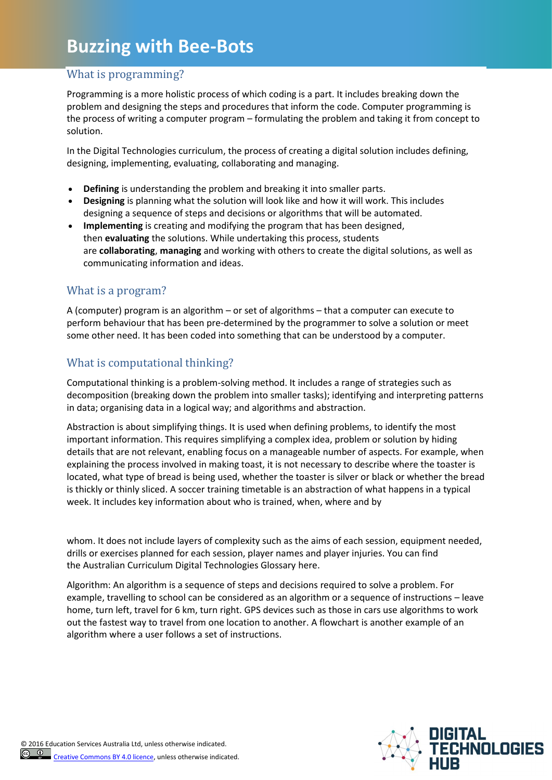# **Buzzing with Bee-Bots**

### What is programming?

Programming is a more holistic process of which coding is a part. It includes breaking down the problem and designing the steps and procedures that inform the code. Computer programming is the process of writing a computer program – formulating the problem and taking it from concept to solution.

In the Digital Technologies curriculum, the process of creating a digital solution includes defining, designing, implementing, evaluating, collaborating and managing.

- **Defining** is understanding the problem and breaking it into smaller parts.
- **Designing** is planning what the solution will look like and how it will work. This includes designing a sequence of steps and decisions or algorithms that will be automated.
- **Implementing** is creating and modifying the program that has been designed, then **evaluating** the solutions. While undertaking this process, students are **collaborating**, **managing** and working with others to create the digital solutions, as well as communicating information and ideas.

#### What is a program?

A (computer) program is an algorithm – or set of algorithms – that a computer can execute to perform behaviour that has been pre-determined by the programmer to solve a solution or meet some other need. It has been coded into something that can be understood by a computer.

### What is computational thinking?

Computational thinking is a problem-solving method. It includes a range of strategies such as decomposition (breaking down the problem into smaller tasks); identifying and interpreting patterns in data; organising data in a logical way; and algorithms and abstraction.

Abstraction is about simplifying things. It is used when defining problems, to identify the most important information. This requires simplifying a complex idea, problem or solution by hiding details that are not relevant, enabling focus on a manageable number of aspects. For example, when explaining the process involved in making toast, it is not necessary to describe where the toaster is located, what type of bread is being used, whether the toaster is silver or black or whether the bread is thickly or thinly sliced. A soccer training timetable is an abstraction of what happens in a typical week. It includes key information about who is trained, when, where and by

whom. It does not include layers of complexity such as the aims of each session, equipment needed, drills or exercises planned for each session, player names and player injuries. You can find the [Australian Curriculum Digital Technologies Glossary](http://www.australiancurriculum.edu.au/technologies/digital-technologies/glossary) here.

Algorithm: An algorithm is a sequence of steps and decisions required to solve a problem. For example, travelling to school can be considered as an algorithm or a sequence of instructions – leave home, turn left, travel for 6 km, turn right. GPS devices such as those in cars use algorithms to work out the fastest way to travel from one location to another. A flowchart is another example of an algorithm where a user follows a set of instructions.